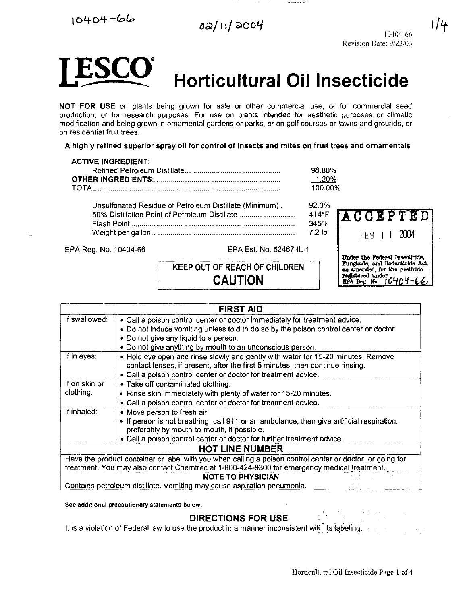$10404 - 66$ 

 $\frac{1}{2}$ 



l / 4



# **Horticultural Oil Insecticide**

NOT FOR USE on plants being grown for sale or other commercial use, or for commercial seed production, or for research purposes. For use on plants intended for aesthetic purposes or climatic modification and being grown in ornamental gardens or parks, or on golf courses or lawns and grounds, or on residential fruit trees.

A highly refined superior spray oil for control of insects and mites on fruit trees and ornamentals

#### ACTIVE INGREDIENT:

|                                                         | 98.80%         |
|---------------------------------------------------------|----------------|
|                                                         | 1.20%          |
|                                                         | 100.00%        |
| Unsulfonated Residue of Petroleum Distillate (Minimum). | 92.0%          |
| 50% Distillation Point of Petroleum Distillate          | 414°F $\Gamma$ |
|                                                         | 345°F          |
|                                                         | 72 lb          |
|                                                         |                |

EPA Reg. No. 10404-66 EPA Est. No. 52467 -IL-1

# KEEP OUT OF REACH OF CHILDREN CAUTION



| <b>FIRST AID</b>                                                                                          |                                                                                           |  |  |  |  |
|-----------------------------------------------------------------------------------------------------------|-------------------------------------------------------------------------------------------|--|--|--|--|
| If swallowed:                                                                                             | • Call a poison control center or doctor immediately for treatment advice.                |  |  |  |  |
|                                                                                                           | • Do not induce vomiting unless told to do so by the poison control center or doctor.     |  |  |  |  |
|                                                                                                           | . Do not give any liquid to a person.                                                     |  |  |  |  |
|                                                                                                           | . Do not give anything by mouth to an unconscious person.                                 |  |  |  |  |
| If in eyes:                                                                                               | . Hold eye open and rinse slowly and gently with water for 15-20 minutes. Remove          |  |  |  |  |
|                                                                                                           | contact lenses, if present, after the first 5 minutes, then continue rinsing.             |  |  |  |  |
|                                                                                                           | • Call a poison control center or doctor for treatment advice.                            |  |  |  |  |
| If on skin or                                                                                             | • Take off contaminated clothing.                                                         |  |  |  |  |
| clothing:                                                                                                 | • Rinse skin immediately with plenty of water for 15-20 minutes.                          |  |  |  |  |
|                                                                                                           | . Call a poison control center or doctor for treatment advice.                            |  |  |  |  |
| If inhaled:                                                                                               | . Move person to fresh air.                                                               |  |  |  |  |
|                                                                                                           | • If person is not breathing, call 911 or an ambulance, then give artificial respiration, |  |  |  |  |
|                                                                                                           | preferably by mouth-to-mouth, if possible.                                                |  |  |  |  |
|                                                                                                           | • Call a poison control center or doctor for further treatment advice.                    |  |  |  |  |
| <b>HOT LINE NUMBER</b>                                                                                    |                                                                                           |  |  |  |  |
| Have the product container or label with you when calling a poison control center or doctor, or going for |                                                                                           |  |  |  |  |
| treatment. You may also contact Chemtrec at 1-800-424-9300 for emergency medical treatment.               |                                                                                           |  |  |  |  |
| <b>NOTE TO PHYSICIAN</b>                                                                                  |                                                                                           |  |  |  |  |
|                                                                                                           | Contains petroleum distillate. Vomiting may cause aspiration pneumonia.                   |  |  |  |  |

See additional precautionary statements below.

# DIRECTIONS FOR USE

It is a violation of Federal law to use the product in a manner inconsistent with its labeling.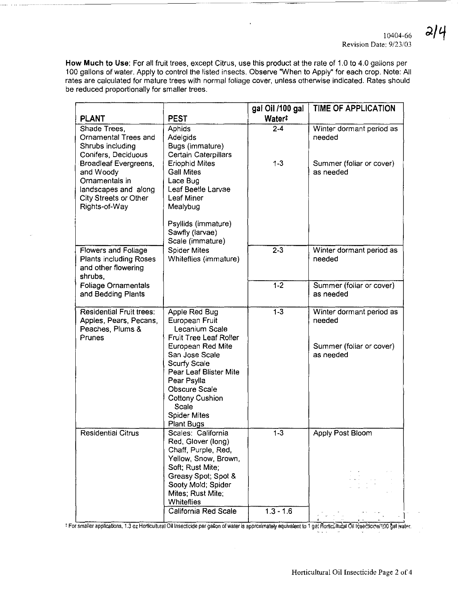$2|4$ 

How Much to Use: For all fruit trees, except Citrus, use this product at the rate of 1.0 to 4.0 gallons per 100 gallons of water. Apply to control the listed insects. Observe "When to Apply" for each crop. Note: All rates are calculated for mature trees with normal foliage cover, unless otherwise indicated. Rates should be reduced proportionally for smaller trees.

|                                                                                                                        |                                                                                                                                                                                       | gal Oil /100 gal   | <b>TIME OF APPLICATION</b>            |
|------------------------------------------------------------------------------------------------------------------------|---------------------------------------------------------------------------------------------------------------------------------------------------------------------------------------|--------------------|---------------------------------------|
| <b>PLANT</b>                                                                                                           | <b>PEST</b>                                                                                                                                                                           | Water <sup>#</sup> |                                       |
| Shade Trees,<br>Ornamental Trees and<br>Shrubs including<br>Conifers, Deciduous                                        | <b>Aphids</b><br><b>Adelgids</b><br>Bugs (immature)<br><b>Certain Caterpillars</b>                                                                                                    | $2 - 4$            | Winter dormant period as<br>needed    |
| Broadleaf Evergreens,<br>and Woody<br>Ornamentals in<br>landscapes and along<br>City Streets or Other<br>Rights-of-Way | <b>Eriophid Mites</b><br><b>Gall Mites</b><br>Lace Bug<br>Leaf Beetle Larvae<br>Leaf Miner<br>Mealybug                                                                                | $1-3$              | Summer (foliar or cover)<br>as needed |
|                                                                                                                        | Psyllids (immature)<br>Sawfly (larvae)<br>Scale (immature)                                                                                                                            |                    |                                       |
| Flowers and Foliage<br>Plants including Roses<br>and other flowering<br>shrubs.                                        | <b>Spider Mites</b><br>Whiteflies (immature)                                                                                                                                          | $2 - 3$            | Winter dormant period as<br>needed    |
| <b>Foliage Ornamentals</b><br>and Bedding Plants                                                                       |                                                                                                                                                                                       | $\overline{1-2}$   | Summer (foliar or cover)<br>as needed |
| <b>Residential Fruit trees:</b><br>Apples, Pears, Pecans,<br>Peaches, Plums &<br>Prunes                                | Apple Red Bug<br>European Fruit<br>Lecanium Scale<br><b>Fruit Tree Leaf Roller</b>                                                                                                    | $\overline{1-3}$   | Winter dormant period as<br>needed    |
|                                                                                                                        | European Red Mite<br>San Jose Scale<br>Scurfy Scale<br>Pear Leaf Blister Mite<br>Pear Psylla<br>Obscure Scale<br><b>Cottony Cushion</b><br>Scale<br><b>Spider Mites</b><br>Plant Bugs |                    | Summer (foliar or cover)<br>as needed |
| <b>Residential Citrus</b>                                                                                              | Scales: California<br>Red, Glover (long)<br>Chaff, Purple, Red,<br>Yellow, Snow, Brown,                                                                                               | $1-3$              | Apply Post Bloom                      |
|                                                                                                                        | Soft; Rust Mite;<br>Greasy Spot; Spot &<br>Sooty Mold; Spider<br>Mites; Rust Mite;<br>Whiteflies                                                                                      |                    |                                       |
|                                                                                                                        | California Red Scale                                                                                                                                                                  | $1.3 - 1.6$        |                                       |

t For smaller applications, 1.3 oz Horticultural Oil Insecticide per gallon of water is approximately equivalent to 1 ge. Horticultural Oil Insecticice/100 gal water.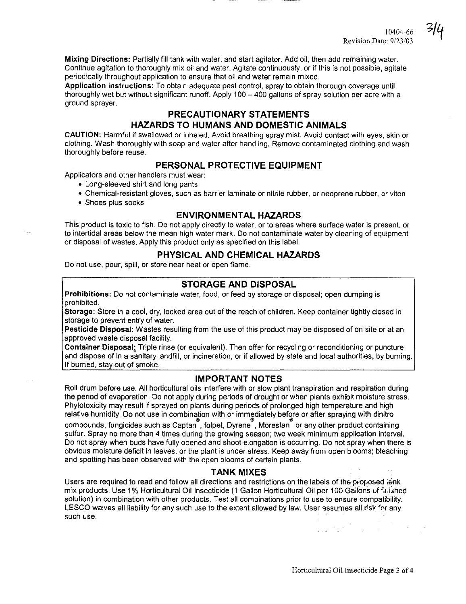**Mixing Directions:** Partially fill tank with water, and start agitator. Add oil, then add remaining water. Continue agitation to thoroughly mix oil and water. Agitate continuously, or if this is not possible, agitate periodically throughout application to ensure that oil and water remain mixed.

**Application instructions:** To obtain adequate pest control, spray to obtain thorough coverage until thoroughly wet but without significant runoff. Apply 100 - 400 gallons of spray solution per acre with a ground sprayer.

# **PRECAUTIONARY STATEMENTS HAZARDS TO HUMANS AND DOMESTIC ANIMALS**

**CAUTION:** Harmful if swallowed or inhaled. Avoid breathing spray mist. Avoid contact with eyes, skin or clothing. Wash thoroughly with soap and water after handling. Remove contaminated clothing and wash thoroughly before reuse.

# **PERSONAL PROTECTIVE EQUIPMENT**

Applicators and other handlers must wear:

- Long-sleeved shirt and long pants
- Chemical-resistant gloves, such as barrier laminate or nitrile rubber, or neoprene rubber, or viton
- Shoes plus socks

# **ENVIRONMENTAL HAZARDS**

This product is toxic to fish. Do not apply directly to water, or to areas where surface water is present, or to intertidal areas below the mean high water mark. Do not contaminate water by cleaning of equipment or disposal of wastes. Apply this product only as specified on this label.

# **PHYSICAL AND CHEMICAL HAZARDS**

Do not use, pour, spill, or store near heat or open flame.

## **STORAGE AND DISPOSAL**

**Prohibitions:** Do not contaminate water, food, or feed by storage or disposal; open dumping is prohibited.

**Storage:** Store in a cool, dry, locked area out of the reach of children. Keep container tightly closed in storage to prevent entry of water.

**Pesticide Disposal:** Wastes resulting from the use of this product may be disposed of on site or at an approved waste disposal facility.

**Container Disposal.** Triple rinse (or equivalent). Then offer for recycling or reconditioning or puncture and dispose of in a sanitary landfill, or incineration, or if allowed by state and local authorities, by burning. If burned, stay out of smoke.

## **IMPORTANT NOTES**

Roll drum before use. All horticultural oils interfere with or slow plant transpiration and respiration during the period of evaporation. Do not apply during periods of drought or when plants exhibit moisture stress. Phytotoxicity may result if sprayed on plants during periods of prolonged high temperature and high

relative humidity. Do not use in combination with or immediately before or after spraying with dinitro<br>compounds, fungicides such as Captanຶ, folpet, Dyreneຶ, Morestanຶ or any other product containing sulfur. Spray no more than 4 times during the growing season; two week minimum application interval. Do not spray when buds have fully opened and shoot elongation is occurring. Do not spray when there is obvious moisture deficit in leaves, or the plant is under stress. Keep away from open blooms; bleaching and spotting has been observed with the open blooms of certain plants.

#### **TANK MIXES**

Users are required to read and follow all directions and restrictions on the labels of the proposed lank mix products. Use 1% Horticultural Oil Insecticide (1 Gallon Horticultural Oil per 100 Gailons of finished solution) in combination with other products. Test all combinations prior to use to ensure compatibility. LESCO waives all liability for any such use to the extent allowed by law. User assumes all risk for any such use.

Horticultural Oil Insecticide Page 3 of 4